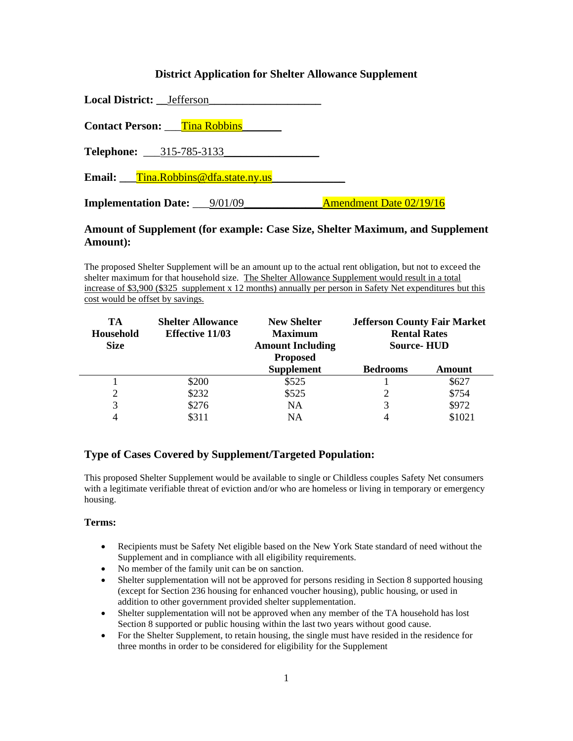## **District Application for Shelter Allowance Supplement**

| Local District: __ Jefferson        |                                |
|-------------------------------------|--------------------------------|
| <b>Contact Person:</b> Tina Robbins |                                |
| <b>Telephone:</b> 315-785-3133      |                                |
| Email: Tina.Robbins@dfa.state.ny.us |                                |
| <b>Implementation Date:</b> 9/01/09 | <b>Amendment Date 02/19/16</b> |

## **Amount of Supplement (for example: Case Size, Shelter Maximum, and Supplement Amount):**

The proposed Shelter Supplement will be an amount up to the actual rent obligation, but not to exceed the shelter maximum for that household size. The Shelter Allowance Supplement would result in a total increase of \$3,900 (\$325 supplement x 12 months) annually per person in Safety Net expenditures but this cost would be offset by savings.

| TA<br><b>Household</b><br><b>Size</b> | <b>Shelter Allowance</b><br><b>Effective 11/03</b> | <b>New Shelter</b><br><b>Maximum</b><br><b>Amount Including</b><br><b>Proposed</b> | <b>Jefferson County Fair Market</b><br><b>Rental Rates</b><br><b>Source-HUD</b> |        |
|---------------------------------------|----------------------------------------------------|------------------------------------------------------------------------------------|---------------------------------------------------------------------------------|--------|
|                                       |                                                    | <b>Supplement</b>                                                                  | <b>Bedrooms</b>                                                                 | Amount |
|                                       | \$200                                              | \$525                                                                              |                                                                                 | \$627  |
| 2                                     | \$232                                              | \$525                                                                              |                                                                                 | \$754  |
| 3                                     | \$276                                              | <b>NA</b>                                                                          | 3                                                                               | \$972  |
|                                       | \$311                                              | <b>NA</b>                                                                          |                                                                                 | \$1021 |

## **Type of Cases Covered by Supplement/Targeted Population:**

This proposed Shelter Supplement would be available to single or Childless couples Safety Net consumers with a legitimate verifiable threat of eviction and/or who are homeless or living in temporary or emergency housing.

#### **Terms:**

- Recipients must be Safety Net eligible based on the New York State standard of need without the Supplement and in compliance with all eligibility requirements.
- No member of the family unit can be on sanction.
- Shelter supplementation will not be approved for persons residing in Section 8 supported housing (except for Section 236 housing for enhanced voucher housing), public housing, or used in addition to other government provided shelter supplementation.
- Shelter supplementation will not be approved when any member of the TA household has lost Section 8 supported or public housing within the last two years without good cause.
- For the Shelter Supplement, to retain housing, the single must have resided in the residence for three months in order to be considered for eligibility for the Supplement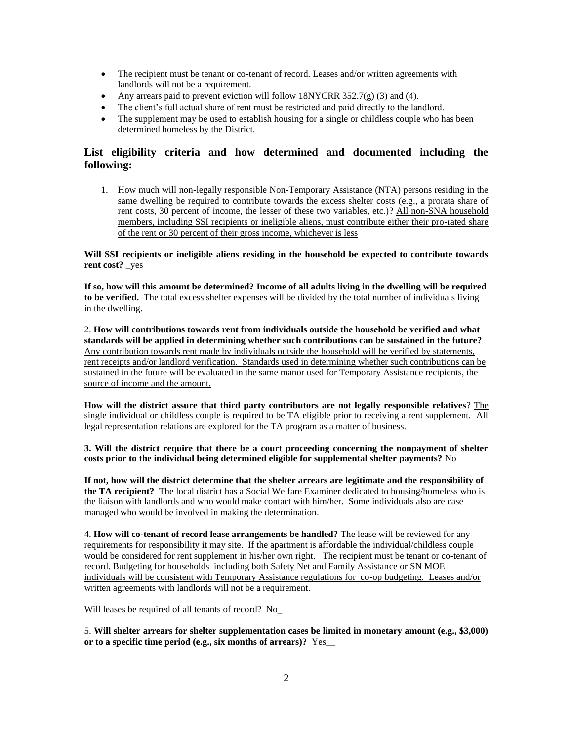- The recipient must be tenant or co-tenant of record. Leases and/or written agreements with landlords will not be a requirement.
- Any arrears paid to prevent eviction will follow 18NYCRR 352.7(g) (3) and (4).
- The client's full actual share of rent must be restricted and paid directly to the landlord.
- The supplement may be used to establish housing for a single or childless couple who has been determined homeless by the District.

# **List eligibility criteria and how determined and documented including the following:**

1. How much will non-legally responsible Non-Temporary Assistance (NTA) persons residing in the same dwelling be required to contribute towards the excess shelter costs (e.g., a prorata share of rent costs, 30 percent of income, the lesser of these two variables, etc.)? All non-SNA household members, including SSI recipients or ineligible aliens, must contribute either their pro-rated share of the rent or 30 percent of their gross income, whichever is less

**Will SSI recipients or ineligible aliens residing in the household be expected to contribute towards rent cost?** yes

**If so, how will this amount be determined? Income of all adults living in the dwelling will be required to be verified.** The total excess shelter expenses will be divided by the total number of individuals living in the dwelling.

2. **How will contributions towards rent from individuals outside the household be verified and what standards will be applied in determining whether such contributions can be sustained in the future?** Any contribution towards rent made by individuals outside the household will be verified by statements, rent receipts and/or landlord verification. Standards used in determining whether such contributions can be sustained in the future will be evaluated in the same manor used for Temporary Assistance recipients, the source of income and the amount.

**How will the district assure that third party contributors are not legally responsible relatives**? The single individual or childless couple is required to be TA eligible prior to receiving a rent supplement. All legal representation relations are explored for the TA program as a matter of business.

**3. Will the district require that there be a court proceeding concerning the nonpayment of shelter costs prior to the individual being determined eligible for supplemental shelter payments?** No

**If not, how will the district determine that the shelter arrears are legitimate and the responsibility of the TA recipient?** The local district has a Social Welfare Examiner dedicated to housing/homeless who is the liaison with landlords and who would make contact with him/her. Some individuals also are case managed who would be involved in making the determination.

4. **How will co-tenant of record lease arrangements be handled?** The lease will be reviewed for any requirements for responsibility it may site. If the apartment is affordable the individual/childless couple would be considered for rent supplement in his/her own right. The recipient must be tenant or co-tenant of record. Budgeting for households including both Safety Net and Family Assistance or SN MOE individuals will be consistent with Temporary Assistance regulations for co-op budgeting. Leases and/or written agreements with landlords will not be a requirement.

Will leases be required of all tenants of record? No\_

5. **Will shelter arrears for shelter supplementation cases be limited in monetary amount (e.g., \$3,000) or to a specific time period (e.g., six months of arrears)?** Yes\_\_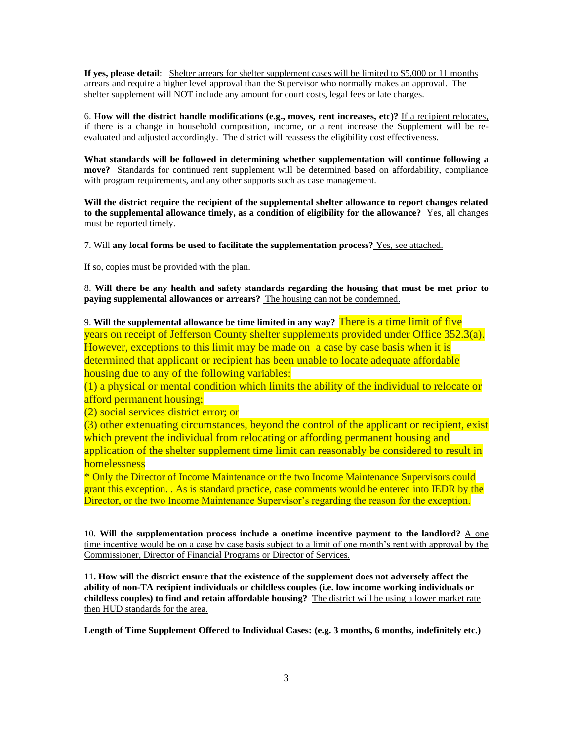**If yes, please detail**: Shelter arrears for shelter supplement cases will be limited to \$5,000 or 11 months arrears and require a higher level approval than the Supervisor who normally makes an approval. The shelter supplement will NOT include any amount for court costs, legal fees or late charges.

6. **How will the district handle modifications (e.g., moves, rent increases, etc)?** If a recipient relocates, if there is a change in household composition, income, or a rent increase the Supplement will be reevaluated and adjusted accordingly. The district will reassess the eligibility cost effectiveness.

**What standards will be followed in determining whether supplementation will continue following a**  move? Standards for continued rent supplement will be determined based on affordability, compliance with program requirements, and any other supports such as case management.

**Will the district require the recipient of the supplemental shelter allowance to report changes related to the supplemental allowance timely, as a condition of eligibility for the allowance?** Yes, all changes must be reported timely.

7. Will **any local forms be used to facilitate the supplementation process?** Yes, see attached.

If so, copies must be provided with the plan.

8. **Will there be any health and safety standards regarding the housing that must be met prior to paying supplemental allowances or arrears?** The housing can not be condemned.

9. **Will the supplemental allowance be time limited in any way?** There is a time limit of five years on receipt of Jefferson County shelter supplements provided under Office 352.3(a). However, exceptions to this limit may be made on a case by case basis when it is determined that applicant or recipient has been unable to locate adequate affordable housing due to any of the following variables:

(1) a physical or mental condition which limits the ability of the individual to relocate or afford permanent housing;

(2) social services district error; or

(3) other extenuating circumstances, beyond the control of the applicant or recipient, exist which prevent the individual from relocating or affording permanent housing and application of the shelter supplement time limit can reasonably be considered to result in homelessness

\* Only the Director of Income Maintenance or the two Income Maintenance Supervisors could grant this exception. . As is standard practice, case comments would be entered into IEDR by the Director, or the two Income Maintenance Supervisor's regarding the reason for the exception.

10. **Will the supplementation process include a onetime incentive payment to the landlord?** A one time incentive would be on a case by case basis subject to a limit of one month's rent with approval by the Commissioner, Director of Financial Programs or Director of Services.

11**. How will the district ensure that the existence of the supplement does not adversely affect the ability of non-TA recipient individuals or childless couples (i.e. low income working individuals or childless couples) to find and retain affordable housing?** The district will be using a lower market rate then HUD standards for the area.

**Length of Time Supplement Offered to Individual Cases: (e.g. 3 months, 6 months, indefinitely etc.)**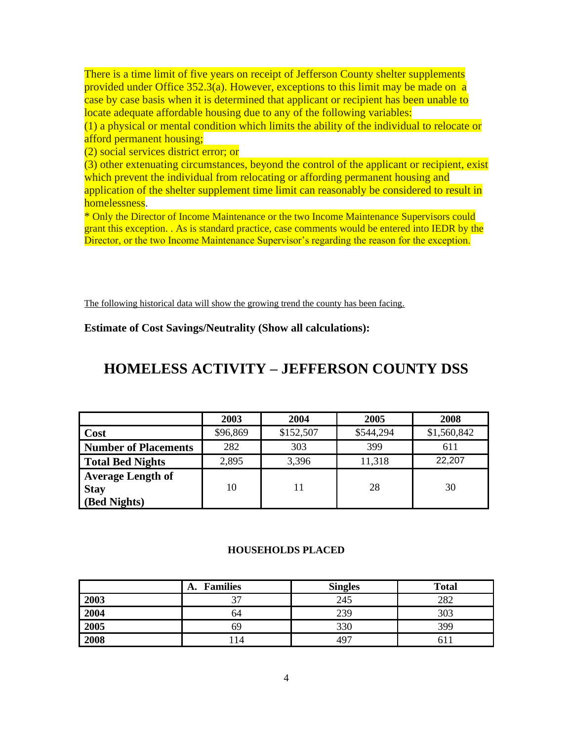There is a time limit of five years on receipt of Jefferson County shelter supplements provided under Office 352.3(a). However, exceptions to this limit may be made on a case by case basis when it is determined that applicant or recipient has been unable to locate adequate affordable housing due to any of the following variables:

(1) a physical or mental condition which limits the ability of the individual to relocate or afford permanent housing;

(2) social services district error; or

(3) other extenuating circumstances, beyond the control of the applicant or recipient, exist which prevent the individual from relocating or affording permanent housing and application of the shelter supplement time limit can reasonably be considered to result in homelessness.

\* Only the Director of Income Maintenance or the two Income Maintenance Supervisors could grant this exception. . As is standard practice, case comments would be entered into IEDR by the Director, or the two Income Maintenance Supervisor's regarding the reason for the exception.

The following historical data will show the growing trend the county has been facing.

**Estimate of Cost Savings/Neutrality (Show all calculations):**

# **HOMELESS ACTIVITY – JEFFERSON COUNTY DSS**

|                                                         | 2003     | 2004      | 2005      | 2008        |
|---------------------------------------------------------|----------|-----------|-----------|-------------|
| Cost                                                    | \$96,869 | \$152,507 | \$544,294 | \$1,560,842 |
| <b>Number of Placements</b>                             | 282      | 303       | 399       | 611         |
| <b>Total Bed Nights</b>                                 | 2,895    | 3,396     | 11,318    | 22,207      |
| <b>Average Length of</b><br><b>Stay</b><br>(Bed Nights) | 10       | 11        | 28        | 30          |

## **HOUSEHOLDS PLACED**

|      | <b>Families</b><br>A. | <b>Singles</b> | <b>Total</b> |
|------|-----------------------|----------------|--------------|
| 2003 | າາ                    | 245            | 282          |
| 2004 | 64                    | 239            | 303          |
| 2005 | 69                    | 330            | 399          |
| 2008 | -14                   | 497            |              |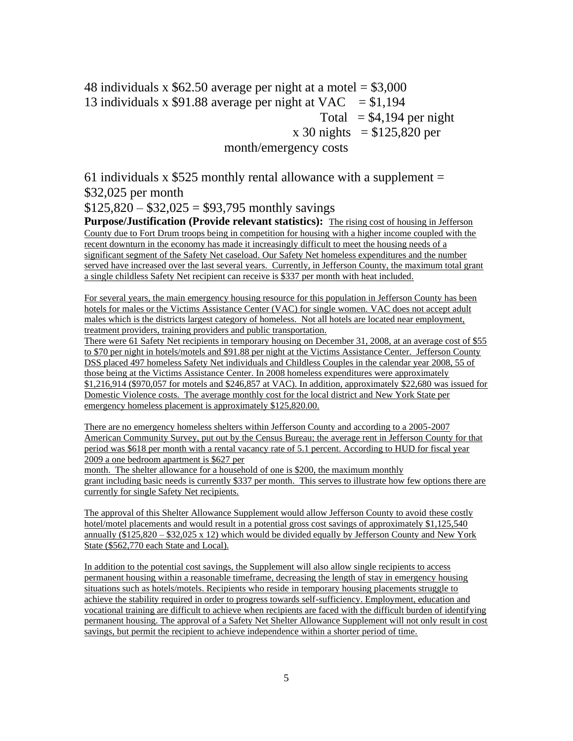48 individuals x  $$62.50$  average per night at a motel = \$3,000 13 individuals x \$91.88 average per night at VAC  $= $1,194$ Total =  $$4,194$  per night  $x 30$  nights = \$125,820 per month/emergency costs

61 individuals x \$525 monthly rental allowance with a supplement  $=$ \$32,025 per month

 $$125,820 - $32,025 = $93,795$  monthly savings

**Purpose/Justification (Provide relevant statistics):** The rising cost of housing in Jefferson County due to Fort Drum troops being in competition for housing with a higher income coupled with the recent downturn in the economy has made it increasingly difficult to meet the housing needs of a significant segment of the Safety Net caseload. Our Safety Net homeless expenditures and the number served have increased over the last several years. Currently, in Jefferson County, the maximum total grant a single childless Safety Net recipient can receive is \$337 per month with heat included.

For several years, the main emergency housing resource for this population in Jefferson County has been hotels for males or the Victims Assistance Center (VAC) for single women. VAC does not accept adult males which is the districts largest category of homeless. Not all hotels are located near employment, treatment providers, training providers and public transportation.

There were 61 Safety Net recipients in temporary housing on December 31, 2008, at an average cost of \$55 to \$70 per night in hotels/motels and \$91.88 per night at the Victims Assistance Center. Jefferson County DSS placed 497 homeless Safety Net individuals and Childless Couples in the calendar year 2008, 55 of those being at the Victims Assistance Center. In 2008 homeless expenditures were approximately \$1,216,914 (\$970,057 for motels and \$246,857 at VAC). In addition, approximately \$22,680 was issued for Domestic Violence costs. The average monthly cost for the local district and New York State per emergency homeless placement is approximately \$125,820.00.

There are no emergency homeless shelters within Jefferson County and according to a 2005-2007 American Community Survey, put out by the Census Bureau; the average rent in Jefferson County for that period was \$618 per month with a rental vacancy rate of 5.1 percent. According to HUD for fiscal year 2009 a one bedroom apartment is \$627 per

month. The shelter allowance for a household of one is \$200, the maximum monthly grant including basic needs is currently \$337 per month. This serves to illustrate how few options there are currently for single Safety Net recipients.

The approval of this Shelter Allowance Supplement would allow Jefferson County to avoid these costly hotel/motel placements and would result in a potential gross cost savings of approximately \$1,125,540 annually  $$125,820 - $32,025 \times 12)$  which would be divided equally by Jefferson County and New York State (\$562,770 each State and Local).

In addition to the potential cost savings, the Supplement will also allow single recipients to access permanent housing within a reasonable timeframe, decreasing the length of stay in emergency housing situations such as hotels/motels. Recipients who reside in temporary housing placements struggle to achieve the stability required in order to progress towards self-sufficiency. Employment, education and vocational training are difficult to achieve when recipients are faced with the difficult burden of identifying permanent housing. The approval of a Safety Net Shelter Allowance Supplement will not only result in cost savings, but permit the recipient to achieve independence within a shorter period of time.